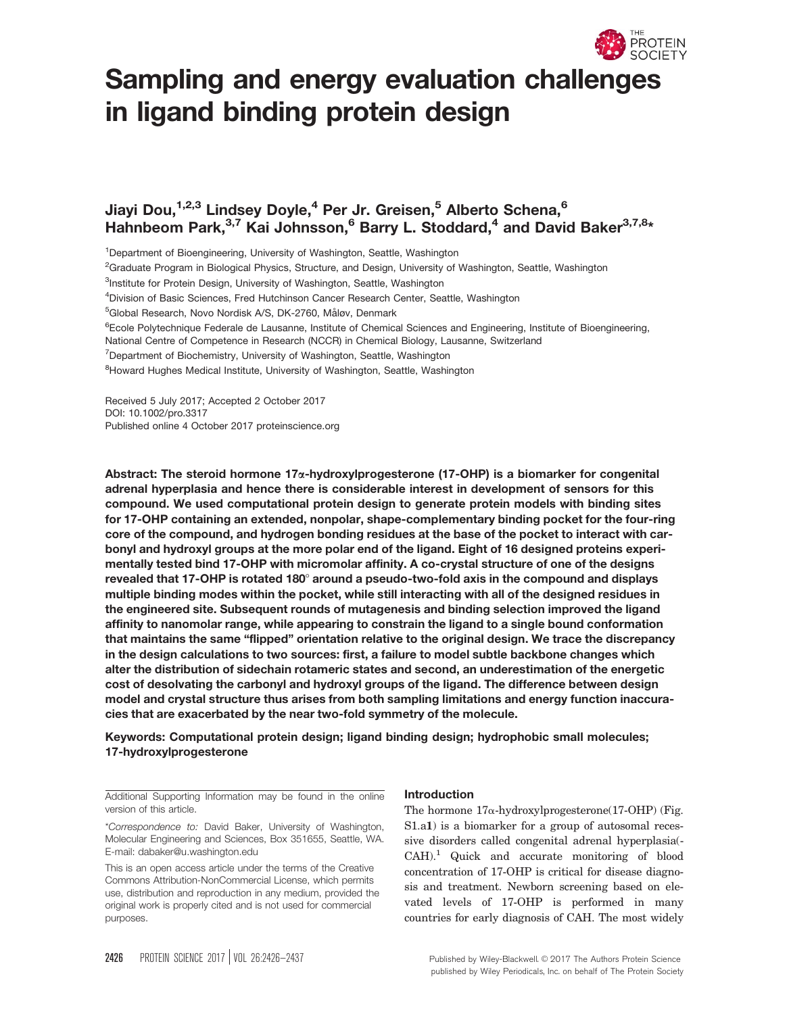

# Sampling and energy evaluation challenges in ligand binding protein design

## Jiayi Dou,<sup>1,2,3</sup> Lindsey Doyle,<sup>4</sup> Per Jr. Greisen,<sup>5</sup> Alberto Schena,<sup>6</sup> Hahnbeom Park,<sup>3,7</sup> Kai Johnsson,<sup>6</sup> Barry L. Stoddard,<sup>4</sup> and David Baker<sup>3,7,8</sup>\*

<sup>1</sup>Department of Bioengineering, University of Washington, Seattle, Washington

<sup>2</sup>Graduate Program in Biological Physics, Structure, and Design, University of Washington, Seattle, Washington

<sup>3</sup>Institute for Protein Design, University of Washington, Seattle, Washington

<sup>4</sup>Division of Basic Sciences, Fred Hutchinson Cancer Research Center, Seattle, Washington

<sup>5</sup>Global Research, Novo Nordisk A/S, DK-2760, Måløv, Denmark

<sup>6</sup>Ecole Polytechnique Federale de Lausanne, Institute of Chemical Sciences and Engineering, Institute of Bioengineering,

National Centre of Competence in Research (NCCR) in Chemical Biology, Lausanne, Switzerland

<sup>7</sup>Department of Biochemistry, University of Washington, Seattle, Washington

<sup>8</sup>Howard Hughes Medical Institute, University of Washington, Seattle, Washington

Received 5 July 2017; Accepted 2 October 2017 DOI: 10.1002/pro.3317 Published online 4 October 2017 proteinscience.org

Abstract: The steroid hormone 17<sub>x-</sub>hydroxylprogesterone (17-OHP) is a biomarker for congenital adrenal hyperplasia and hence there is considerable interest in development of sensors for this compound. We used computational protein design to generate protein models with binding sites for 17-OHP containing an extended, nonpolar, shape-complementary binding pocket for the four-ring core of the compound, and hydrogen bonding residues at the base of the pocket to interact with carbonyl and hydroxyl groups at the more polar end of the ligand. Eight of 16 designed proteins experimentally tested bind 17-OHP with micromolar affinity. A co-crystal structure of one of the designs revealed that 17-OHP is rotated 180 $^{\circ}$  around a pseudo-two-fold axis in the compound and displays multiple binding modes within the pocket, while still interacting with all of the designed residues in the engineered site. Subsequent rounds of mutagenesis and binding selection improved the ligand affinity to nanomolar range, while appearing to constrain the ligand to a single bound conformation that maintains the same "flipped" orientation relative to the original design. We trace the discrepancy in the design calculations to two sources: first, a failure to model subtle backbone changes which alter the distribution of sidechain rotameric states and second, an underestimation of the energetic cost of desolvating the carbonyl and hydroxyl groups of the ligand. The difference between design model and crystal structure thus arises from both sampling limitations and energy function inaccuracies that are exacerbated by the near two-fold symmetry of the molecule.

Keywords: Computational protein design; ligand binding design; hydrophobic small molecules; 17-hydroxylprogesterone

Additional Supporting Information may be found in the online version of this article.

\*Correspondence to: David Baker, University of Washington, Molecular Engineering and Sciences, Box 351655, Seattle, WA. E-mail: dabaker@u.washington.edu

This is an open access article under the terms of the [Creative](http://creativecommons.org/licenses/by-nc/4.0/) [Commons Attribution-NonCommercial](http://creativecommons.org/licenses/by-nc/4.0/) License, which permits use, distribution and reproduction in any medium, provided the original work is properly cited and is not used for commercial purposes.

#### Introduction

The hormone  $17\alpha$ -hydroxylprogesterone(17-OHP) (Fig. S1.a1) is a biomarker for a group of autosomal recessive disorders called congenital adrenal hyperplasia(- CAH).1 Quick and accurate monitoring of blood concentration of 17-OHP is critical for disease diagnosis and treatment. Newborn screening based on elevated levels of 17-OHP is performed in many countries for early diagnosis of CAH. The most widely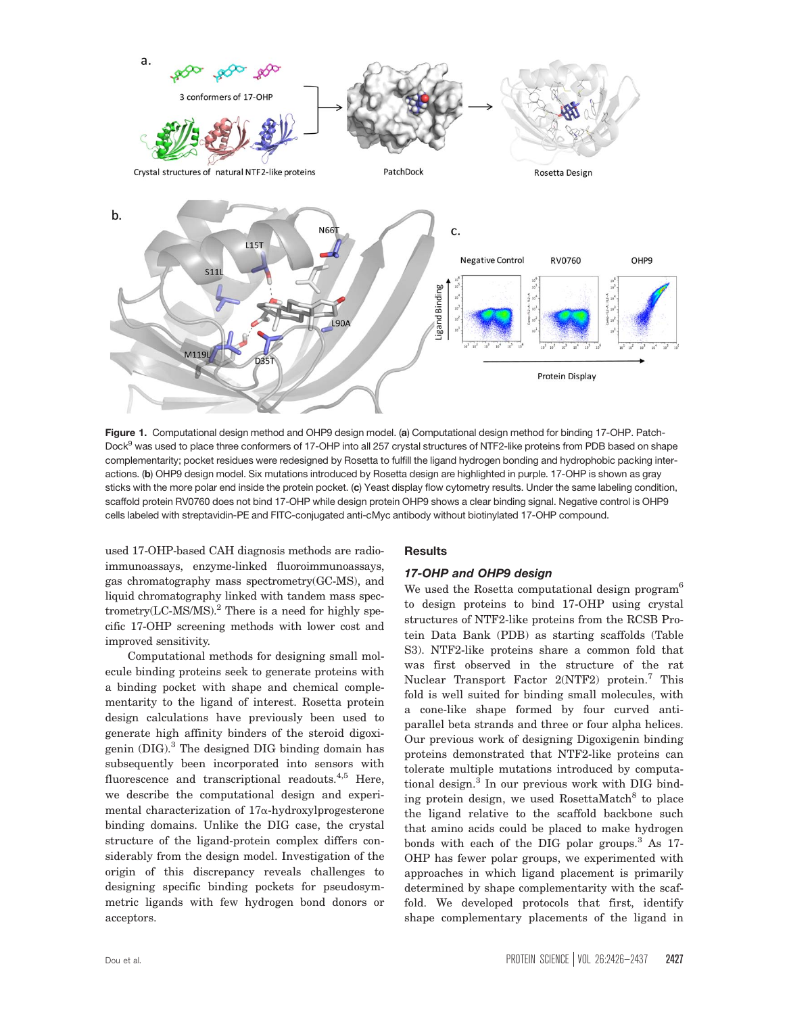

Figure 1. Computational design method and OHP9 design model. (a) Computational design method for binding 17-OHP. Patch-Dock<sup>9</sup> was used to place three conformers of 17-OHP into all 257 crystal structures of NTF2-like proteins from PDB based on shape complementarity; pocket residues were redesigned by Rosetta to fulfill the ligand hydrogen bonding and hydrophobic packing interactions. (b) OHP9 design model. Six mutations introduced by Rosetta design are highlighted in purple. 17-OHP is shown as gray sticks with the more polar end inside the protein pocket. (c) Yeast display flow cytometry results. Under the same labeling condition, scaffold protein RV0760 does not bind 17-OHP while design protein OHP9 shows a clear binding signal. Negative control is OHP9 cells labeled with streptavidin-PE and FITC-conjugated anti-cMyc antibody without biotinylated 17-OHP compound.

used 17-OHP-based CAH diagnosis methods are radioimmunoassays, enzyme-linked fluoroimmunoassays, gas chromatography mass spectrometry(GC-MS), and liquid chromatography linked with tandem mass spectrometry(LC-MS/MS). $^{2}$  There is a need for highly specific 17-OHP screening methods with lower cost and improved sensitivity.

Computational methods for designing small molecule binding proteins seek to generate proteins with a binding pocket with shape and chemical complementarity to the ligand of interest. Rosetta protein design calculations have previously been used to generate high affinity binders of the steroid digoxigenin  $(DIG)$ .<sup>3</sup> The designed DIG binding domain has subsequently been incorporated into sensors with fluorescence and transcriptional readouts.<sup>4,5</sup> Here, we describe the computational design and experimental characterization of  $17\alpha$ -hydroxylprogesterone binding domains. Unlike the DIG case, the crystal structure of the ligand-protein complex differs considerably from the design model. Investigation of the origin of this discrepancy reveals challenges to designing specific binding pockets for pseudosymmetric ligands with few hydrogen bond donors or acceptors.

## **Results**

## 17-OHP and OHP9 design

We used the Rosetta computational design program<sup>6</sup> to design proteins to bind 17-OHP using crystal structures of NTF2-like proteins from the RCSB Protein Data Bank (PDB) as starting scaffolds (Table S3). NTF2-like proteins share a common fold that was first observed in the structure of the rat Nuclear Transport Factor 2(NTF2) protein.<sup>7</sup> This fold is well suited for binding small molecules, with a cone-like shape formed by four curved antiparallel beta strands and three or four alpha helices. Our previous work of designing Digoxigenin binding proteins demonstrated that NTF2-like proteins can tolerate multiple mutations introduced by computational design.<sup>3</sup> In our previous work with DIG binding protein design, we used RosettaMatch<sup>8</sup> to place the ligand relative to the scaffold backbone such that amino acids could be placed to make hydrogen bonds with each of the DIG polar groups.<sup>3</sup> As 17-OHP has fewer polar groups, we experimented with approaches in which ligand placement is primarily determined by shape complementarity with the scaffold. We developed protocols that first, identify shape complementary placements of the ligand in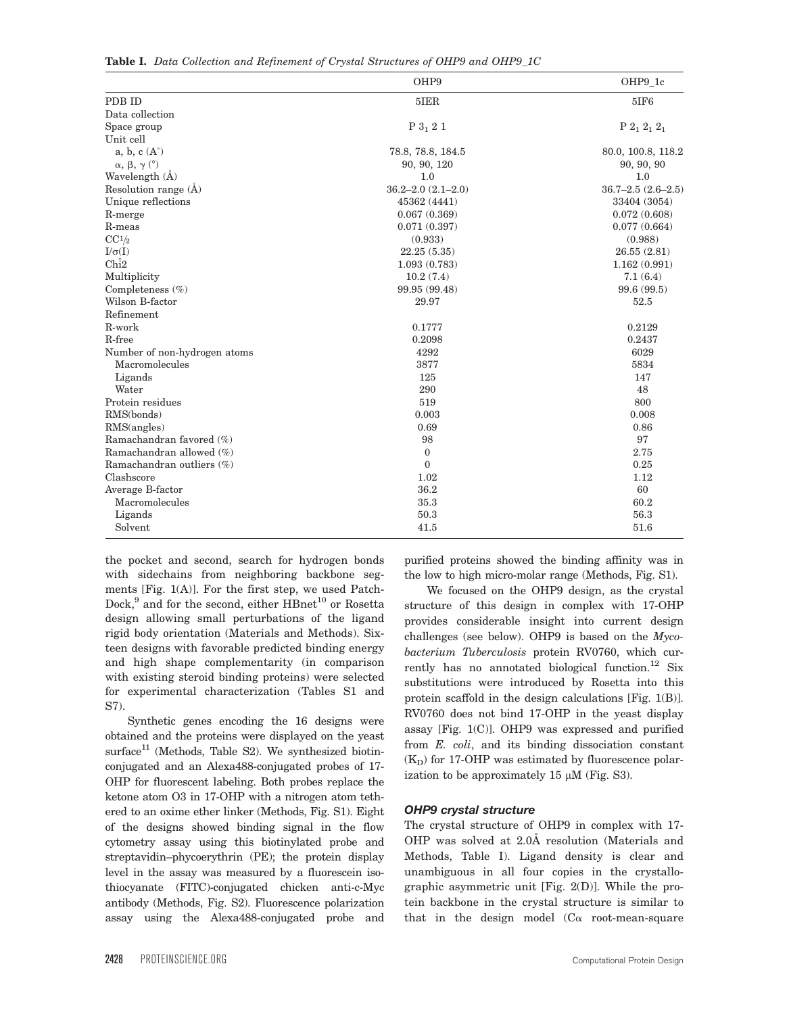Table I. Data Collection and Refinement of Crystal Structures of OHP9 and OHP9\_1C

|                                   | OHP9                    | OHP9_1c                        |
|-----------------------------------|-------------------------|--------------------------------|
| PDB ID                            | $5$ IER                 | 5IF6                           |
| Data collection                   |                         |                                |
| Space group                       | $P_3$ 2 1               | $\mathrm{P}$ $2_1$ $2_1$ $2_1$ |
| Unit cell                         |                         |                                |
| $a, b, c(A^{\circ})$              | 78.8, 78.8, 184.5       | 80.0, 100.8, 118.2             |
| $\alpha$ , $\beta$ , $\gamma$ (°) | 90, 90, 120             | 90, 90, 90                     |
| Wavelength (A)                    | 1.0                     | 1.0                            |
| Resolution range $(A)$            | $36.2 - 2.0(2.1 - 2.0)$ | $36.7 - 2.5(2.6 - 2.5)$        |
| Unique reflections                | 45362 (4441)            | 33404 (3054)                   |
| R-merge                           | 0.067(0.369)            | 0.072(0.608)                   |
| R-meas                            | 0.071(0.397)            | 0.077(0.664)                   |
| CC <sup>1</sup> /2                | (0.933)                 | (0.988)                        |
| $I/\sigma(I)$                     | 22.25(5.35)             | 26.55(2.81)                    |
| $\widehat{\text{Chi}}$            | 1.093(0.783)            | 1.162(0.991)                   |
| Multiplicity                      | 10.2(7.4)               | 7.1(6.4)                       |
| Completeness $(\%)$               | 99.95 (99.48)           | 99.6 (99.5)                    |
| Wilson B-factor                   | 29.97                   | 52.5                           |
| Refinement                        |                         |                                |
| R-work                            | 0.1777                  | 0.2129                         |
| R-free                            | 0.2098                  | 0.2437                         |
| Number of non-hydrogen atoms      | 4292                    | 6029                           |
| Macromolecules                    | 3877                    | 5834                           |
| Ligands                           | 125                     | 147                            |
| Water                             | 290                     | 48                             |
| Protein residues                  | 519                     | 800                            |
| RMS(bonds)                        | 0.003                   | 0.008                          |
| RMS(angles)                       | 0.69                    | 0.86                           |
| Ramachandran favored (%)          | 98                      | 97                             |
| Ramachandran allowed (%)          | $\mathbf{0}$            | 2.75                           |
| Ramachandran outliers (%)         | $\overline{0}$          | 0.25                           |
| Clashscore                        | 1.02                    | 1.12                           |
| Average B-factor                  | 36.2                    | 60                             |
| Macromolecules                    | 35.3                    | 60.2                           |
| Ligands                           | 50.3                    | 56.3                           |
| Solvent                           | 41.5                    | $51.6\,$                       |

the pocket and second, search for hydrogen bonds with sidechains from neighboring backbone segments [Fig. 1(A)]. For the first step, we used Patch-Dock,<sup>9</sup> and for the second, either HBnet<sup>10</sup> or Rosetta design allowing small perturbations of the ligand rigid body orientation (Materials and Methods). Sixteen designs with favorable predicted binding energy and high shape complementarity (in comparison with existing steroid binding proteins) were selected for experimental characterization (Tables S1 and S7).

Synthetic genes encoding the 16 designs were obtained and the proteins were displayed on the yeast  $surface<sup>11</sup>$  (Methods, Table S2). We synthesized biotinconjugated and an Alexa488-conjugated probes of 17- OHP for fluorescent labeling. Both probes replace the ketone atom O3 in 17-OHP with a nitrogen atom tethered to an oxime ether linker (Methods, Fig. S1). Eight of the designs showed binding signal in the flow cytometry assay using this biotinylated probe and streptavidin–phycoerythrin (PE); the protein display level in the assay was measured by a fluorescein isothiocyanate (FITC)-conjugated chicken anti-c-Myc antibody (Methods, Fig. S2). Fluorescence polarization assay using the Alexa488-conjugated probe and

purified proteins showed the binding affinity was in the low to high micro-molar range (Methods, Fig. S1).

We focused on the OHP9 design, as the crystal structure of this design in complex with 17-OHP provides considerable insight into current design challenges (see below). OHP9 is based on the  $Myco$ bacterium Tuberculosis protein RV0760, which currently has no annotated biological function.<sup>12</sup> Six substitutions were introduced by Rosetta into this protein scaffold in the design calculations [Fig. 1(B)]. RV0760 does not bind 17-OHP in the yeast display assay [Fig. 1(C)]. OHP9 was expressed and purified from E. coli, and its binding dissociation constant  $(K_D)$  for 17-OHP was estimated by fluorescence polarization to be approximately 15  $\mu$ M (Fig. S3).

#### OHP9 crystal structure

The crystal structure of OHP9 in complex with 17- OHP was solved at 2.0A resolution (Materials and Methods, Table I). Ligand density is clear and unambiguous in all four copies in the crystallographic asymmetric unit [Fig. 2(D)]. While the protein backbone in the crystal structure is similar to that in the design model  $(C\alpha$  root-mean-square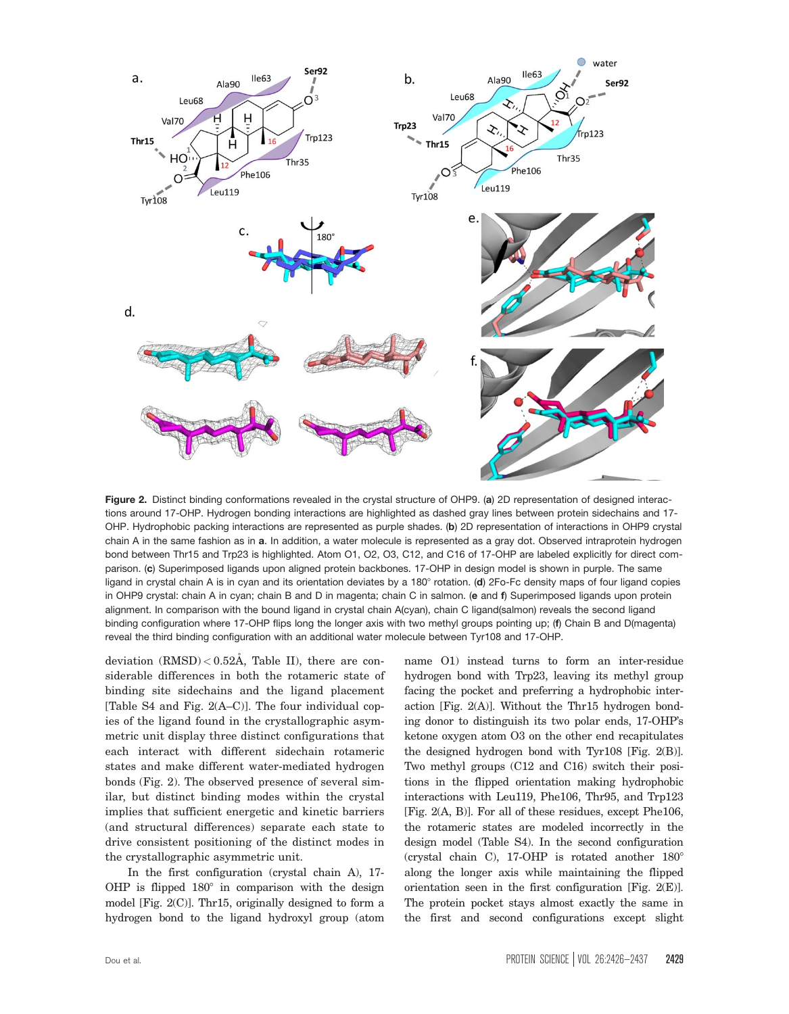

Figure 2. Distinct binding conformations revealed in the crystal structure of OHP9. (a) 2D representation of designed interactions around 17-OHP. Hydrogen bonding interactions are highlighted as dashed gray lines between protein sidechains and 17- OHP. Hydrophobic packing interactions are represented as purple shades. (b) 2D representation of interactions in OHP9 crystal chain A in the same fashion as in a. In addition, a water molecule is represented as a gray dot. Observed intraprotein hydrogen bond between Thr15 and Trp23 is highlighted. Atom O1, O2, O3, C12, and C16 of 17-OHP are labeled explicitly for direct comparison. (c) Superimposed ligands upon aligned protein backbones. 17-OHP in design model is shown in purple. The same ligand in crystal chain A is in cyan and its orientation deviates by a  $180^\circ$  rotation. (d) 2Fo-Fc density maps of four ligand copies in OHP9 crystal: chain A in cyan; chain B and D in magenta; chain C in salmon. (e and f) Superimposed ligands upon protein alignment. In comparison with the bound ligand in crystal chain A(cyan), chain C ligand(salmon) reveals the second ligand binding configuration where 17-OHP flips long the longer axis with two methyl groups pointing up; (f) Chain B and D(magenta) reveal the third binding configuration with an additional water molecule between Tyr108 and 17-OHP.

deviation  $(RMSD) < 0.52$ Å, Table II), there are considerable differences in both the rotameric state of binding site sidechains and the ligand placement [Table S4 and Fig. 2(A–C)]. The four individual copies of the ligand found in the crystallographic asymmetric unit display three distinct configurations that each interact with different sidechain rotameric states and make different water-mediated hydrogen bonds (Fig. 2). The observed presence of several similar, but distinct binding modes within the crystal implies that sufficient energetic and kinetic barriers (and structural differences) separate each state to drive consistent positioning of the distinct modes in the crystallographic asymmetric unit.

In the first configuration (crystal chain A), 17- OHP is flipped  $180^\circ$  in comparison with the design model [Fig. 2(C)]. Thr15, originally designed to form a hydrogen bond to the ligand hydroxyl group (atom

name O1) instead turns to form an inter-residue hydrogen bond with Trp23, leaving its methyl group facing the pocket and preferring a hydrophobic interaction [Fig. 2(A)]. Without the Thr15 hydrogen bonding donor to distinguish its two polar ends, 17-OHP's ketone oxygen atom O3 on the other end recapitulates the designed hydrogen bond with Tyr108 [Fig. 2(B)]. Two methyl groups (C12 and C16) switch their positions in the flipped orientation making hydrophobic interactions with Leu119, Phe106, Thr95, and Trp123 [Fig. 2(A, B)]. For all of these residues, except Phe106, the rotameric states are modeled incorrectly in the design model (Table S4). In the second configuration (crystal chain C), 17-OHP is rotated another  $180^\circ$ along the longer axis while maintaining the flipped orientation seen in the first configuration [Fig. 2(E)]. The protein pocket stays almost exactly the same in the first and second configurations except slight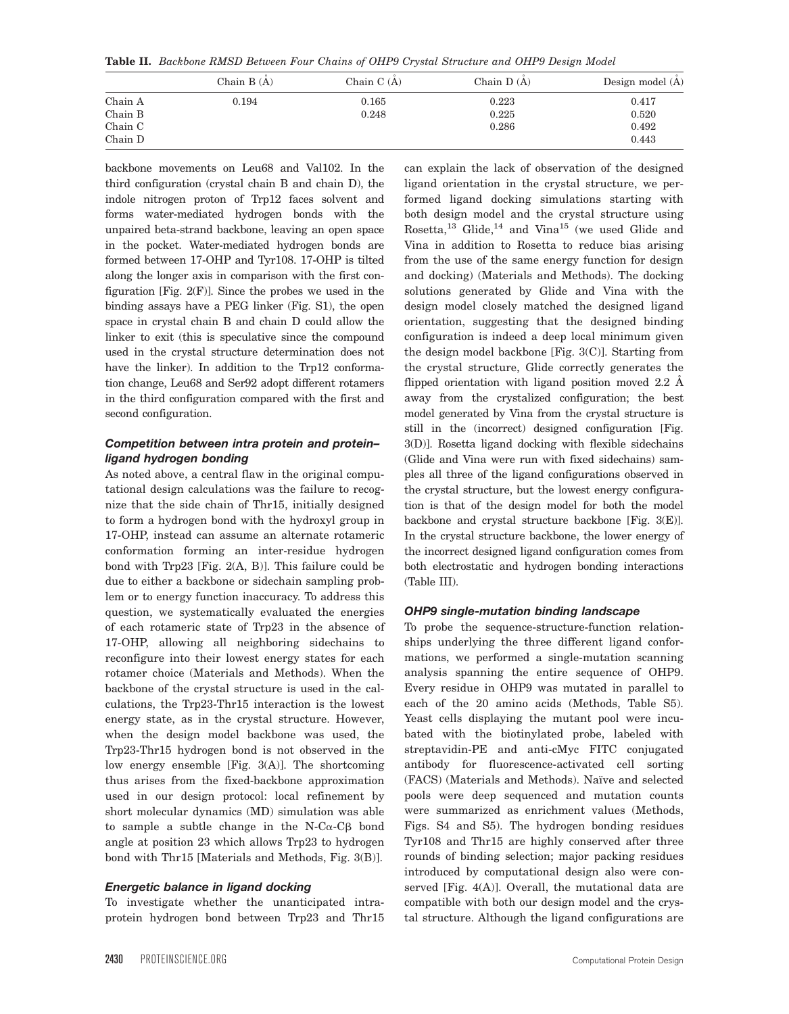Table II. Backbone RMSD Between Four Chains of OHP9 Crystal Structure and OHP9 Design Model

|                    | Chain $B(A)$ | Chain $C(A)$ | Chain $D(A)$ | Design model (A) |
|--------------------|--------------|--------------|--------------|------------------|
| Chain A            | 0.194        | 0.165        | 0.223        | 0.417            |
| Chain B            |              | 0.248        | 0.225        | 0.520            |
| Chain C<br>Chain D |              |              | 0.286        | 0.492<br>0.443   |

backbone movements on Leu68 and Val102. In the third configuration (crystal chain B and chain D), the indole nitrogen proton of Trp12 faces solvent and forms water-mediated hydrogen bonds with the unpaired beta-strand backbone, leaving an open space in the pocket. Water-mediated hydrogen bonds are formed between 17-OHP and Tyr108. 17-OHP is tilted along the longer axis in comparison with the first configuration [Fig.  $2(F)$ ]. Since the probes we used in the binding assays have a PEG linker (Fig. S1), the open space in crystal chain B and chain D could allow the linker to exit (this is speculative since the compound used in the crystal structure determination does not have the linker). In addition to the Trp12 conformation change, Leu68 and Ser92 adopt different rotamers in the third configuration compared with the first and second configuration.

### Competition between intra protein and protein– ligand hydrogen bonding

As noted above, a central flaw in the original computational design calculations was the failure to recognize that the side chain of Thr15, initially designed to form a hydrogen bond with the hydroxyl group in 17-OHP, instead can assume an alternate rotameric conformation forming an inter-residue hydrogen bond with Trp23 [Fig. 2(A, B)]. This failure could be due to either a backbone or sidechain sampling problem or to energy function inaccuracy. To address this question, we systematically evaluated the energies of each rotameric state of Trp23 in the absence of 17-OHP, allowing all neighboring sidechains to reconfigure into their lowest energy states for each rotamer choice (Materials and Methods). When the backbone of the crystal structure is used in the calculations, the Trp23-Thr15 interaction is the lowest energy state, as in the crystal structure. However, when the design model backbone was used, the Trp23-Thr15 hydrogen bond is not observed in the low energy ensemble [Fig. 3(A)]. The shortcoming thus arises from the fixed-backbone approximation used in our design protocol: local refinement by short molecular dynamics (MD) simulation was able to sample a subtle change in the  $N-C\alpha-C\beta$  bond angle at position 23 which allows Trp23 to hydrogen bond with Thr15 [Materials and Methods, Fig. 3(B)].

#### Energetic balance in ligand docking

To investigate whether the unanticipated intraprotein hydrogen bond between Trp23 and Thr15

can explain the lack of observation of the designed ligand orientation in the crystal structure, we performed ligand docking simulations starting with both design model and the crystal structure using Rosetta, $^{13}$  Glide, $^{14}$  and Vina<sup>15</sup> (we used Glide and Vina in addition to Rosetta to reduce bias arising from the use of the same energy function for design and docking) (Materials and Methods). The docking solutions generated by Glide and Vina with the design model closely matched the designed ligand orientation, suggesting that the designed binding configuration is indeed a deep local minimum given the design model backbone [Fig. 3(C)]. Starting from the crystal structure, Glide correctly generates the flipped orientation with ligand position moved  $2.2 \text{ Å}$ away from the crystalized configuration; the best model generated by Vina from the crystal structure is still in the (incorrect) designed configuration [Fig. 3(D)]. Rosetta ligand docking with flexible sidechains (Glide and Vina were run with fixed sidechains) samples all three of the ligand configurations observed in the crystal structure, but the lowest energy configuration is that of the design model for both the model backbone and crystal structure backbone [Fig. 3(E)]. In the crystal structure backbone, the lower energy of the incorrect designed ligand configuration comes from both electrostatic and hydrogen bonding interactions (Table III).

#### OHP9 single-mutation binding landscape

To probe the sequence-structure-function relationships underlying the three different ligand conformations, we performed a single-mutation scanning analysis spanning the entire sequence of OHP9. Every residue in OHP9 was mutated in parallel to each of the 20 amino acids (Methods, Table S5). Yeast cells displaying the mutant pool were incubated with the biotinylated probe, labeled with streptavidin-PE and anti-cMyc FITC conjugated antibody for fluorescence-activated cell sorting (FACS) (Materials and Methods). Naïve and selected pools were deep sequenced and mutation counts were summarized as enrichment values (Methods, Figs. S4 and S5). The hydrogen bonding residues Tyr108 and Thr15 are highly conserved after three rounds of binding selection; major packing residues introduced by computational design also were conserved [Fig. 4(A)]. Overall, the mutational data are compatible with both our design model and the crystal structure. Although the ligand configurations are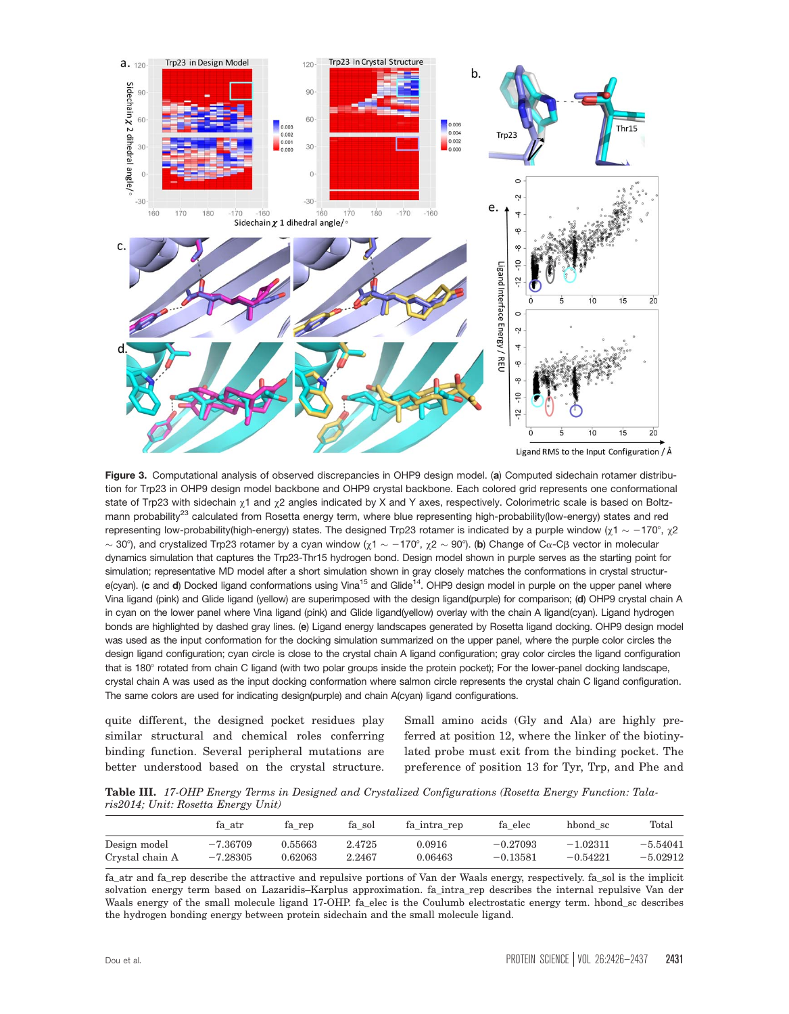

Figure 3. Computational analysis of observed discrepancies in OHP9 design model. (a) Computed sidechain rotamer distribution for Trp23 in OHP9 design model backbone and OHP9 crystal backbone. Each colored grid represents one conformational state of Trp23 with sidechain  $\chi$ 1 and  $\chi$ 2 angles indicated by X and Y axes, respectively. Colorimetric scale is based on Boltzmann probability<sup>23</sup> calculated from Rosetta energy term, where blue representing high-probability(low-energy) states and red representing low-probability(high-energy) states. The designed Trp23 rotamer is indicated by a purple window ( $\chi$ 1  $\sim$   $-$ 170°,  $\chi$ 2  $\sim$  30°), and crystalized Trp23 rotamer by a cyan window (χ1  $\sim$   $-170^\circ$ , χ2  $\sim$  90°). (b) Change of Cα-Cβ vector in molecular dynamics simulation that captures the Trp23-Thr15 hydrogen bond. Design model shown in purple serves as the starting point for simulation; representative MD model after a short simulation shown in gray closely matches the conformations in crystal structure(cyan). (c and d) Docked ligand conformations using Vina<sup>15</sup> and Glide<sup>14</sup>. OHP9 design model in purple on the upper panel where Vina ligand (pink) and Glide ligand (yellow) are superimposed with the design ligand(purple) for comparison; (d) OHP9 crystal chain A in cyan on the lower panel where Vina ligand (pink) and Glide ligand(yellow) overlay with the chain A ligand(cyan). Ligand hydrogen bonds are highlighted by dashed gray lines. (e) Ligand energy landscapes generated by Rosetta ligand docking. OHP9 design model was used as the input conformation for the docking simulation summarized on the upper panel, where the purple color circles the design ligand configuration; cyan circle is close to the crystal chain A ligand configuration; gray color circles the ligand configuration that is 180° rotated from chain C ligand (with two polar groups inside the protein pocket); For the lower-panel docking landscape, crystal chain A was used as the input docking conformation where salmon circle represents the crystal chain C ligand configuration. The same colors are used for indicating design(purple) and chain A(cyan) ligand configurations.

quite different, the designed pocket residues play similar structural and chemical roles conferring binding function. Several peripheral mutations are better understood based on the crystal structure.

Small amino acids (Gly and Ala) are highly preferred at position 12, where the linker of the biotinylated probe must exit from the binding pocket. The preference of position 13 for Tyr, Trp, and Phe and

Table III. 17-OHP Energy Terms in Designed and Crystalized Configurations (Rosetta Energy Function: Talaris2014; Unit: Rosetta Energy Unit)

|                 | fa atr     | fa rep  | fa sol | fa intra rep | fa elec    | hbond sc   | Total      |
|-----------------|------------|---------|--------|--------------|------------|------------|------------|
| Design model    | $-7.36709$ | 0.55663 | 2.4725 | ${0.0916}$   | $-0.27093$ | $-1.02311$ | $-5.54041$ |
| Crystal chain A | $-7.28305$ | 0.62063 | 2.2467 | 0.06463      | $-0.13581$ | $-0.54221$ | $-5.02912$ |

fa\_atr and fa\_rep describe the attractive and repulsive portions of Van der Waals energy, respectively. fa\_sol is the implicit solvation energy term based on Lazaridis–Karplus approximation. fa\_intra\_rep describes the internal repulsive Van der Waals energy of the small molecule ligand 17-OHP. fa\_elec is the Coulumb electrostatic energy term. hbond\_sc describes the hydrogen bonding energy between protein sidechain and the small molecule ligand.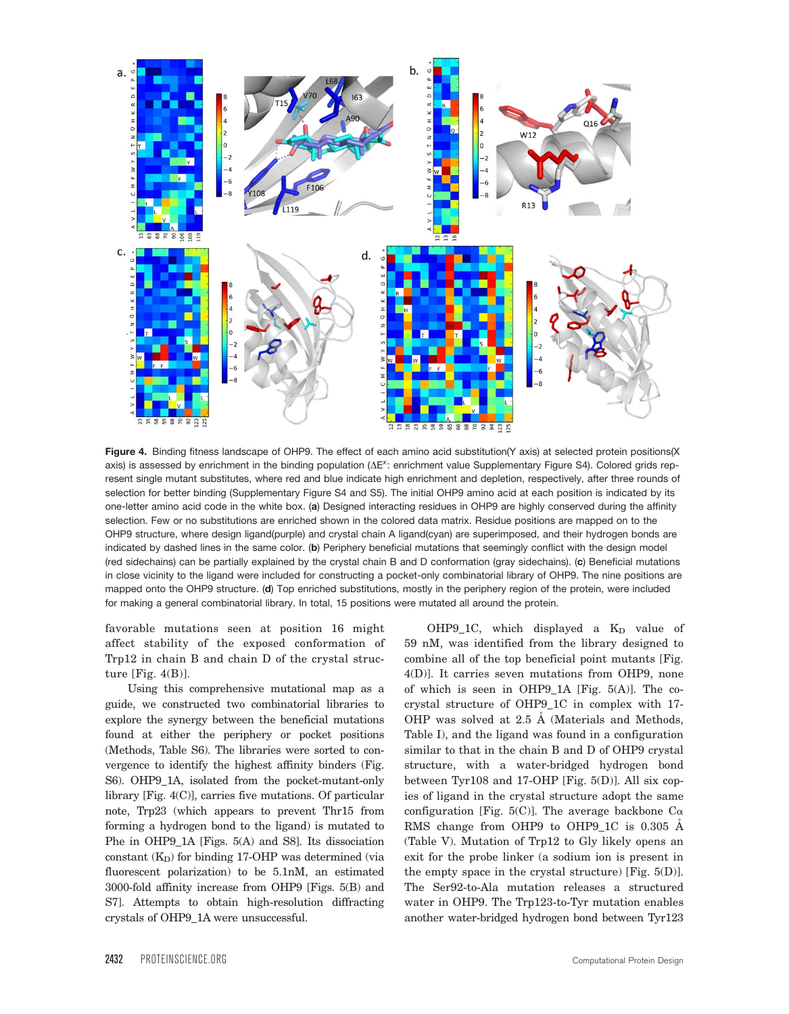

Figure 4. Binding fitness landscape of OHP9. The effect of each amino acid substitution(Y axis) at selected protein positions(X axis) is assessed by enrichment in the binding population  $(\Delta E^{\chi})$ : enrichment value Supplementary Figure S4). Colored grids represent single mutant substitutes, where red and blue indicate high enrichment and depletion, respectively, after three rounds of selection for better binding (Supplementary Figure S4 and S5). The initial OHP9 amino acid at each position is indicated by its one-letter amino acid code in the white box. (a) Designed interacting residues in OHP9 are highly conserved during the affinity selection. Few or no substitutions are enriched shown in the colored data matrix. Residue positions are mapped on to the OHP9 structure, where design ligand(purple) and crystal chain A ligand(cyan) are superimposed, and their hydrogen bonds are indicated by dashed lines in the same color. (b) Periphery beneficial mutations that seemingly conflict with the design model (red sidechains) can be partially explained by the crystal chain B and D conformation (gray sidechains). (c) Beneficial mutations in close vicinity to the ligand were included for constructing a pocket-only combinatorial library of OHP9. The nine positions are mapped onto the OHP9 structure. (d) Top enriched substitutions, mostly in the periphery region of the protein, were included for making a general combinatorial library. In total, 15 positions were mutated all around the protein.

favorable mutations seen at position 16 might affect stability of the exposed conformation of Trp12 in chain B and chain D of the crystal structure [Fig. 4(B)].

Using this comprehensive mutational map as a guide, we constructed two combinatorial libraries to explore the synergy between the beneficial mutations found at either the periphery or pocket positions (Methods, Table S6). The libraries were sorted to convergence to identify the highest affinity binders (Fig. S6). OHP9\_1A, isolated from the pocket-mutant-only library [Fig. 4(C)], carries five mutations. Of particular note, Trp23 (which appears to prevent Thr15 from forming a hydrogen bond to the ligand) is mutated to Phe in OHP9 1A [Figs. 5(A) and S8]. Its dissociation constant  $(K_D)$  for binding 17-OHP was determined (via fluorescent polarization) to be 5.1nM, an estimated 3000-fold affinity increase from OHP9 [Figs. 5(B) and S7]. Attempts to obtain high-resolution diffracting crystals of OHP9\_1A were unsuccessful.

OHP9\_1C, which displayed a  $K_D$  value of 59 nM, was identified from the library designed to combine all of the top beneficial point mutants [Fig. 4(D)]. It carries seven mutations from OHP9, none of which is seen in OHP9\_1A [Fig.  $5(A)$ ]. The cocrystal structure of OHP9\_1C in complex with 17- OHP was solved at 2.5 Å (Materials and Methods, Table I), and the ligand was found in a configuration similar to that in the chain B and D of OHP9 crystal structure, with a water-bridged hydrogen bond between Tyr108 and 17-OHP [Fig. 5(D)]. All six copies of ligand in the crystal structure adopt the same configuration [Fig. 5(C)]. The average backbone  $C_{\alpha}$ RMS change from OHP9 to OHP9\_1C is 0.305 A (Table V). Mutation of Trp12 to Gly likely opens an exit for the probe linker (a sodium ion is present in the empty space in the crystal structure) [Fig.  $5(D)$ ]. The Ser92-to-Ala mutation releases a structured water in OHP9. The Trp123-to-Tyr mutation enables another water-bridged hydrogen bond between Tyr123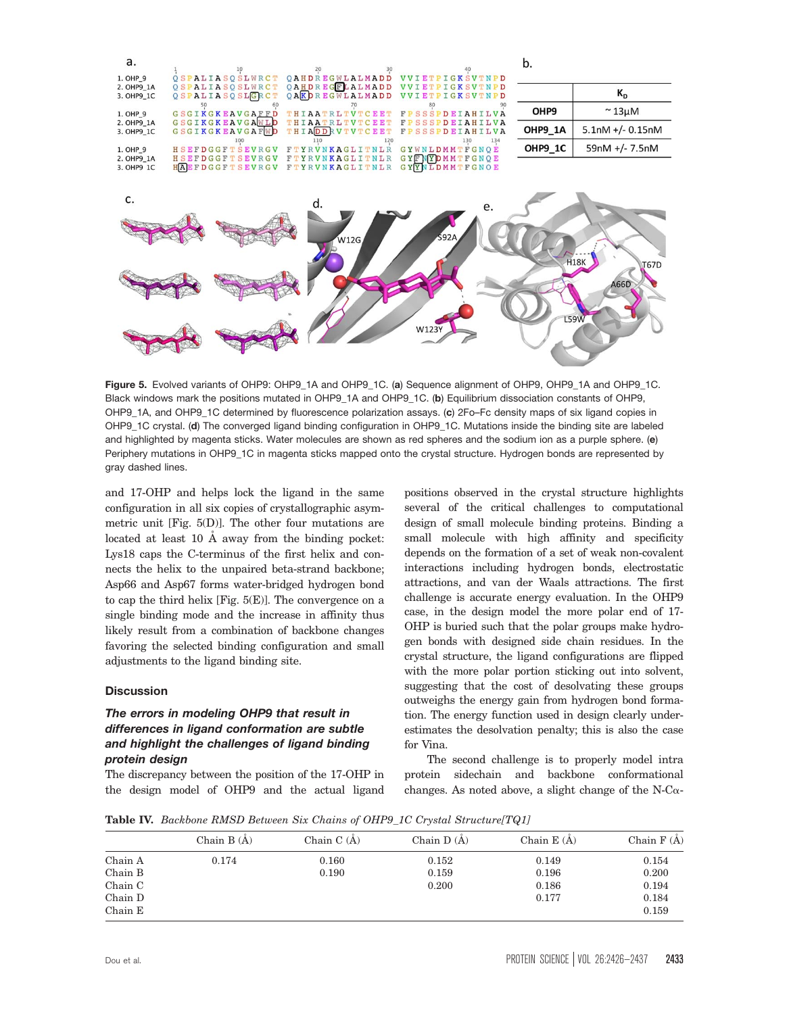

Figure 5. Evolved variants of OHP9: OHP9\_1A and OHP9\_1C. (a) Sequence alignment of OHP9, OHP9\_1A and OHP9\_1C. Black windows mark the positions mutated in OHP9\_1A and OHP9\_1C. (b) Equilibrium dissociation constants of OHP9, OHP9\_1A, and OHP9\_1C determined by fluorescence polarization assays. (c) 2Fo–Fc density maps of six ligand copies in OHP9\_1C crystal. (d) The converged ligand binding configuration in OHP9\_1C. Mutations inside the binding site are labeled and highlighted by magenta sticks. Water molecules are shown as red spheres and the sodium ion as a purple sphere. (e) Periphery mutations in OHP9\_1C in magenta sticks mapped onto the crystal structure. Hydrogen bonds are represented by gray dashed lines.

and 17-OHP and helps lock the ligand in the same configuration in all six copies of crystallographic asymmetric unit [Fig. 5(D)]. The other four mutations are located at least 10  $\AA$  away from the binding pocket: Lys18 caps the C-terminus of the first helix and connects the helix to the unpaired beta-strand backbone; Asp66 and Asp67 forms water-bridged hydrogen bond to cap the third helix [Fig. 5(E)]. The convergence on a single binding mode and the increase in affinity thus likely result from a combination of backbone changes favoring the selected binding configuration and small adjustments to the ligand binding site.

#### **Discussion**

## The errors in modeling OHP9 that result in differences in ligand conformation are subtle and highlight the challenges of ligand binding protein design

The discrepancy between the position of the 17-OHP in the design model of OHP9 and the actual ligand

positions observed in the crystal structure highlights several of the critical challenges to computational design of small molecule binding proteins. Binding a small molecule with high affinity and specificity depends on the formation of a set of weak non-covalent interactions including hydrogen bonds, electrostatic attractions, and van der Waals attractions. The first challenge is accurate energy evaluation. In the OHP9 case, in the design model the more polar end of 17- OHP is buried such that the polar groups make hydrogen bonds with designed side chain residues. In the crystal structure, the ligand configurations are flipped with the more polar portion sticking out into solvent, suggesting that the cost of desolvating these groups outweighs the energy gain from hydrogen bond formation. The energy function used in design clearly underestimates the desolvation penalty; this is also the case for Vina.

The second challenge is to properly model intra protein sidechain and backbone conformational changes. As noted above, a slight change of the N-C $\alpha$ -

Table IV. Backbone RMSD Between Six Chains of OHP9\_1C Crystal Structure[TQ1]

|         | Chain $B(A)$ | Chain $C(A)$ | Chain $D(A)$ | Chain $E(A)$ | Chain $F(A)$ |
|---------|--------------|--------------|--------------|--------------|--------------|
| Chain A | 0.174        | 0.160        | 0.152        | 0.149        | 0.154        |
| Chain B |              | 0.190        | 0.159        | 0.196        | 0.200        |
| Chain C |              |              | 0.200        | 0.186        | 0.194        |
| Chain D |              |              |              | 0.177        | 0.184        |
| Chain E |              |              |              |              | 0.159        |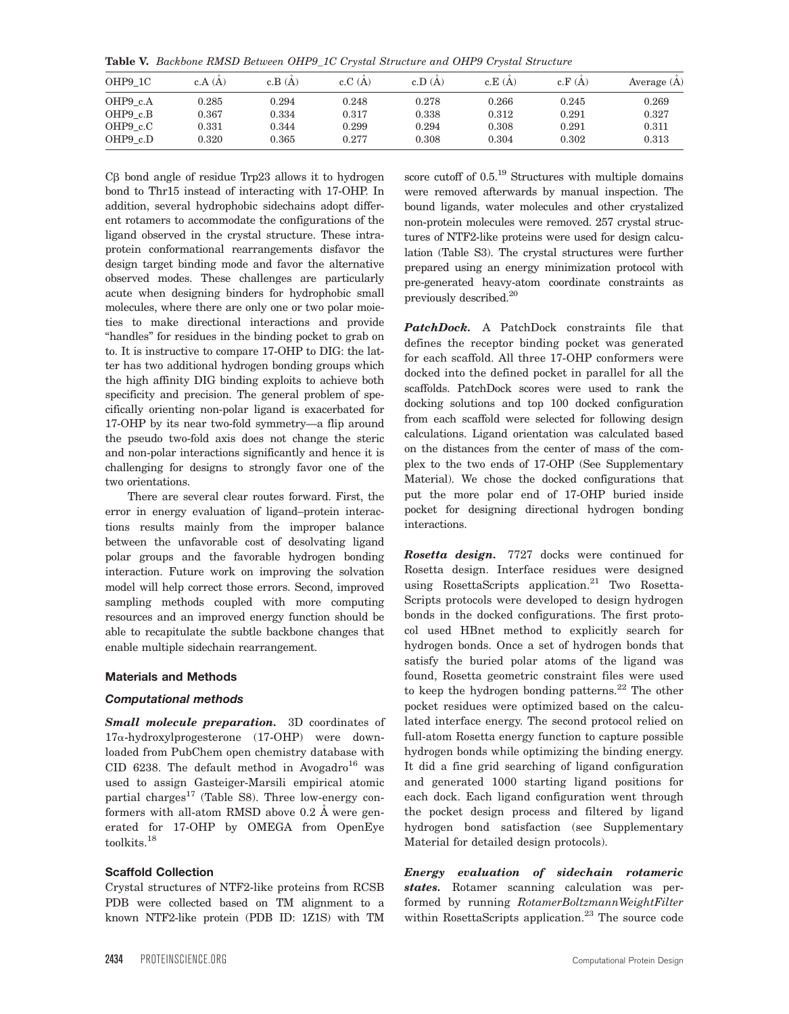Table V. Backbone RMSD Between OHP9\_1C Crystal Structure and OHP9 Crystal Structure

| OHP9 1C  | c.A(A)      | c.B(A)      | c.C(A) | c.D(A) | c.E(A) | c.F(A) | Average $(A)$ |
|----------|-------------|-------------|--------|--------|--------|--------|---------------|
| OHP9 c.A | 0.285       | 0.294       | 0.248  | 0.278  | 0.266  | 0.245  | 0.269         |
| OHP9 c.B | 0.367       | ${ 0.334}$  | 0.317  | 0.338  | 0.312  | 0.291  | 0.327         |
| OHP9 c.C | $\rm 0.331$ | 0.344       | 0.299  | 0.294  | 0.308  | 0.291  | 0.311         |
| OHP9 c.D | 0.320       | $\rm 0.365$ | 0.277  | 0.308  | 0.304  | 0.302  | 0.313         |

 $C\beta$  bond angle of residue Trp23 allows it to hydrogen bond to Thr15 instead of interacting with 17-OHP. In addition, several hydrophobic sidechains adopt different rotamers to accommodate the configurations of the ligand observed in the crystal structure. These intraprotein conformational rearrangements disfavor the design target binding mode and favor the alternative observed modes. These challenges are particularly acute when designing binders for hydrophobic small molecules, where there are only one or two polar moieties to make directional interactions and provide "handles" for residues in the binding pocket to grab on to. It is instructive to compare 17-OHP to DIG: the latter has two additional hydrogen bonding groups which the high affinity DIG binding exploits to achieve both specificity and precision. The general problem of specifically orienting non-polar ligand is exacerbated for 17-OHP by its near two-fold symmetry—a flip around the pseudo two-fold axis does not change the steric and non-polar interactions significantly and hence it is challenging for designs to strongly favor one of the two orientations.

There are several clear routes forward. First, the error in energy evaluation of ligand–protein interactions results mainly from the improper balance between the unfavorable cost of desolvating ligand polar groups and the favorable hydrogen bonding interaction. Future work on improving the solvation model will help correct those errors. Second, improved sampling methods coupled with more computing resources and an improved energy function should be able to recapitulate the subtle backbone changes that enable multiple sidechain rearrangement.

#### Materials and Methods

#### Computational methods

**Small molecule preparation.** 3D coordinates of 17a-hydroxylprogesterone (17-OHP) were downloaded from PubChem open chemistry database with CID 6238. The default method in Avogadro<sup>16</sup> was used to assign Gasteiger-Marsili empirical atomic partial charges<sup>17</sup> (Table S8). Three low-energy conformers with all-atom RMSD above  $0.2 \text{ Å}$  were generated for 17-OHP by OMEGA from OpenEye toolkits.<sup>18</sup>

#### Scaffold Collection

Crystal structures of NTF2-like proteins from RCSB PDB were collected based on TM alignment to a known NTF2-like protein (PDB ID: 1Z1S) with TM

score cutoff of  $0.5$ <sup>19</sup> Structures with multiple domains were removed afterwards by manual inspection. The bound ligands, water molecules and other crystalized non-protein molecules were removed. 257 crystal structures of NTF2-like proteins were used for design calculation (Table S3). The crystal structures were further prepared using an energy minimization protocol with pre-generated heavy-atom coordinate constraints as previously described.20

PatchDock. A PatchDock constraints file that defines the receptor binding pocket was generated for each scaffold. All three 17-OHP conformers were docked into the defined pocket in parallel for all the scaffolds. PatchDock scores were used to rank the docking solutions and top 100 docked configuration from each scaffold were selected for following design calculations. Ligand orientation was calculated based on the distances from the center of mass of the complex to the two ends of 17-OHP (See Supplementary Material). We chose the docked configurations that put the more polar end of 17-OHP buried inside pocket for designing directional hydrogen bonding interactions.

Rosetta design. 7727 docks were continued for Rosetta design. Interface residues were designed using RosettaScripts application.<sup>21</sup> Two Rosetta-Scripts protocols were developed to design hydrogen bonds in the docked configurations. The first protocol used HBnet method to explicitly search for hydrogen bonds. Once a set of hydrogen bonds that satisfy the buried polar atoms of the ligand was found, Rosetta geometric constraint files were used to keep the hydrogen bonding patterns.<sup>22</sup> The other pocket residues were optimized based on the calculated interface energy. The second protocol relied on full-atom Rosetta energy function to capture possible hydrogen bonds while optimizing the binding energy. It did a fine grid searching of ligand configuration and generated 1000 starting ligand positions for each dock. Each ligand configuration went through the pocket design process and filtered by ligand hydrogen bond satisfaction (see Supplementary Material for detailed design protocols).

Energy evaluation of sidechain rotameric states. Rotamer scanning calculation was performed by running RotamerBoltzmannWeightFilter within RosettaScripts application.<sup>23</sup> The source code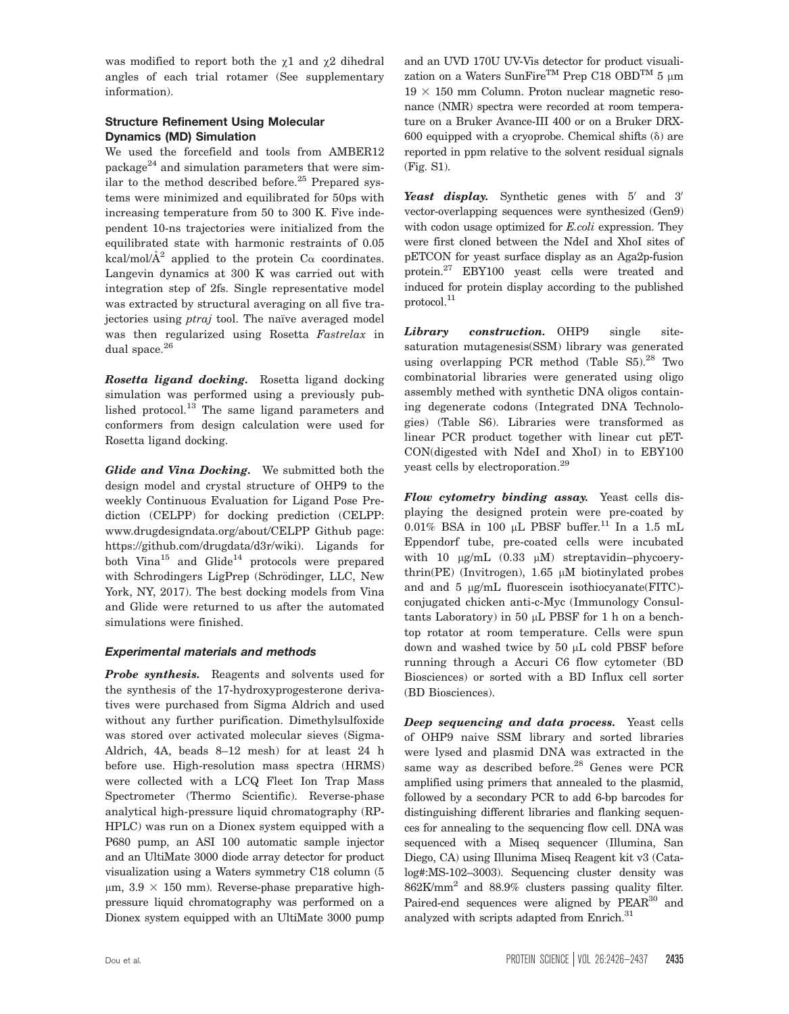was modified to report both the  $\chi$ 1 and  $\chi$ 2 dihedral angles of each trial rotamer (See supplementary information).

## Structure Refinement Using Molecular Dynamics (MD) Simulation

We used the forcefield and tools from AMBER12 package $^{24}$  and simulation parameters that were similar to the method described before.<sup>25</sup> Prepared systems were minimized and equilibrated for 50ps with increasing temperature from 50 to 300 K. Five independent 10-ns trajectories were initialized from the equilibrated state with harmonic restraints of 0.05 kcal/mol/ $A^2$  applied to the protein  $C_{\alpha}$  coordinates. Langevin dynamics at 300 K was carried out with integration step of 2fs. Single representative model was extracted by structural averaging on all five trajectories using *ptraj* tool. The naïve averaged model was then regularized using Rosetta Fastrelax in dual space.<sup>26</sup>

Rosetta ligand docking. Rosetta ligand docking simulation was performed using a previously published protocol.<sup>13</sup> The same ligand parameters and conformers from design calculation were used for Rosetta ligand docking.

Glide and Vina Docking. We submitted both the design model and crystal structure of OHP9 to the weekly Continuous Evaluation for Ligand Pose Prediction (CELPP) for docking prediction (CELPP: [www.drugdesigndata.org/about/CELPP](http://www.drugdesigndata.org/about/CELPP) Github page: <https://github.com/drugdata/d3r/wiki>). Ligands for both Vina<sup>15</sup> and Glide<sup>14</sup> protocols were prepared with Schrodingers LigPrep (Schrödinger, LLC, New York, NY, 2017). The best docking models from Vina and Glide were returned to us after the automated simulations were finished.

## Experimental materials and methods

Probe synthesis. Reagents and solvents used for the synthesis of the 17-hydroxyprogesterone derivatives were purchased from Sigma Aldrich and used without any further purification. Dimethylsulfoxide was stored over activated molecular sieves (Sigma-Aldrich, 4A, beads 8–12 mesh) for at least 24 h before use. High-resolution mass spectra (HRMS) were collected with a LCQ Fleet Ion Trap Mass Spectrometer (Thermo Scientific). Reverse-phase analytical high-pressure liquid chromatography (RP-HPLC) was run on a Dionex system equipped with a P680 pump, an ASI 100 automatic sample injector and an UltiMate 3000 diode array detector for product visualization using a Waters symmetry C18 column (5  $\mu$ m, 3.9  $\times$  150 mm). Reverse-phase preparative highpressure liquid chromatography was performed on a Dionex system equipped with an UltiMate 3000 pump

and an UVD 170U UV-Vis detector for product visualization on a Waters SunFire<sup>TM</sup> Prep C18 OBD<sup>TM</sup> 5  $\mu$ m  $19 \times 150$  mm Column. Proton nuclear magnetic resonance (NMR) spectra were recorded at room temperature on a Bruker Avance-III 400 or on a Bruker DRX-600 equipped with a cryoprobe. Chemical shifts  $(\delta)$  are reported in ppm relative to the solvent residual signals (Fig. S1).

Yeast display. Synthetic genes with  $5'$  and  $3'$ vector-overlapping sequences were synthesized (Gen9) with codon usage optimized for E.coli expression. They were first cloned between the NdeI and XhoI sites of pETCON for yeast surface display as an Aga2p-fusion protein.27 EBY100 yeast cells were treated and induced for protein display according to the published protocol.<sup>11</sup>

Library construction. OHP9 single sitesaturation mutagenesis(SSM) library was generated using overlapping PCR method (Table  $S5$ ).<sup>28</sup> Two combinatorial libraries were generated using oligo assembly methed with synthetic DNA oligos containing degenerate codons (Integrated DNA Technologies) (Table S6). Libraries were transformed as linear PCR product together with linear cut pET-CON(digested with NdeI and XhoI) in to EBY100 yeast cells by electroporation.<sup>29</sup>

Flow cytometry binding assay. Yeast cells displaying the designed protein were pre-coated by 0.01% BSA in 100  $\mu$ L PBSF buffer.<sup>11</sup> In a 1.5 mL Eppendorf tube, pre-coated cells were incubated with 10  $\mu$ g/mL (0.33  $\mu$ M) streptavidin–phycoerythrin(PE) (Invitrogen),  $1.65 \mu M$  biotinylated probes and and  $5 \mu g/mL$  fluorescein isothiocyanate(FITC)conjugated chicken anti-c-Myc (Immunology Consultants Laboratory) in 50  $\mu$ L PBSF for 1 h on a benchtop rotator at room temperature. Cells were spun down and washed twice by  $50 \mu L$  cold PBSF before running through a Accuri C6 flow cytometer (BD Biosciences) or sorted with a BD Influx cell sorter (BD Biosciences).

**Deep sequencing and data process.** Yeast cells of OHP9 naive SSM library and sorted libraries were lysed and plasmid DNA was extracted in the same way as described before.<sup>28</sup> Genes were PCR amplified using primers that annealed to the plasmid, followed by a secondary PCR to add 6-bp barcodes for distinguishing different libraries and flanking sequences for annealing to the sequencing flow cell. DNA was sequenced with a Miseq sequencer (Illumina, San Diego, CA) using Illunima Miseq Reagent kit v3 (Catalog#:MS-102–3003). Sequencing cluster density was 862K/mm2 and 88.9% clusters passing quality filter. Paired-end sequences were aligned by PEAR<sup>30</sup> and analyzed with scripts adapted from Enrich.<sup>31</sup>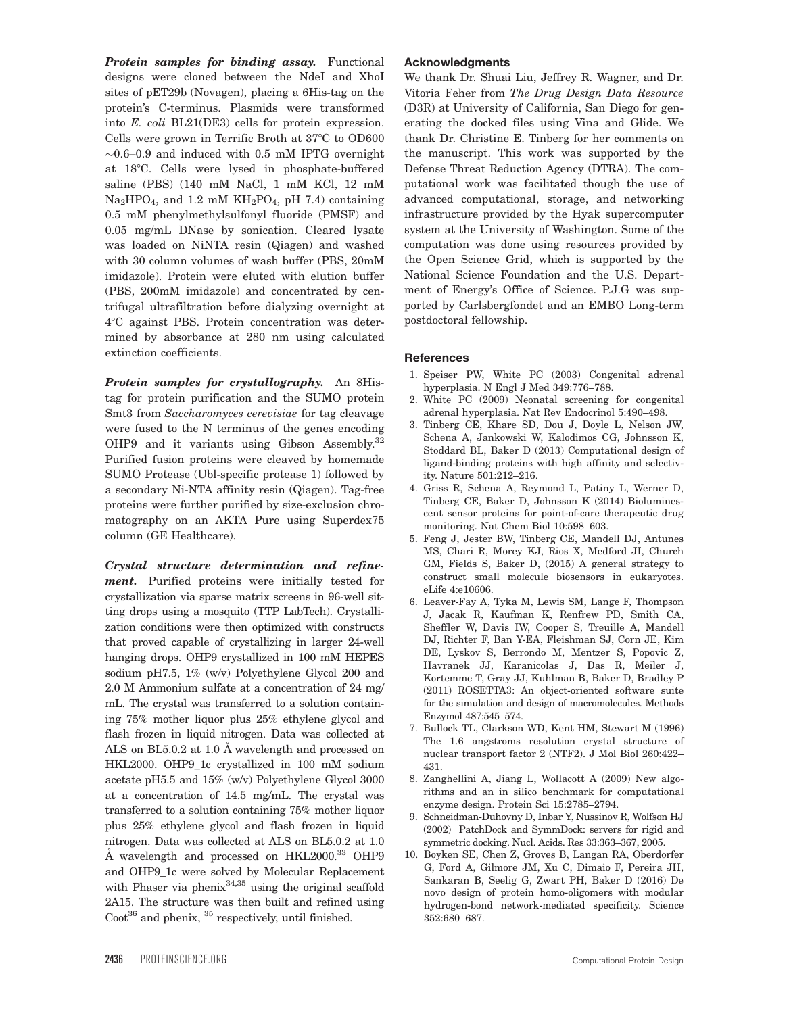Protein samples for binding assay. Functional designs were cloned between the NdeI and XhoI sites of pET29b (Novagen), placing a 6His-tag on the protein's C-terminus. Plasmids were transformed into E. coli BL21(DE3) cells for protein expression. Cells were grown in Terrific Broth at  $37^{\circ}$ C to OD600  $\sim$ 0.6–0.9 and induced with 0.5 mM IPTG overnight at 18°C. Cells were lysed in phosphate-buffered saline (PBS) (140 mM NaCl, 1 mM KCl, 12 mM  $\text{Na}_2\text{HPO}_4$ , and 1.2 mM  $\text{KH}_2\text{PO}_4$ , pH 7.4) containing 0.5 mM phenylmethylsulfonyl fluoride (PMSF) and 0.05 mg/mL DNase by sonication. Cleared lysate was loaded on NiNTA resin (Qiagen) and washed with 30 column volumes of wash buffer (PBS, 20mM imidazole). Protein were eluted with elution buffer (PBS, 200mM imidazole) and concentrated by centrifugal ultrafiltration before dialyzing overnight at 48C against PBS. Protein concentration was determined by absorbance at 280 nm using calculated extinction coefficients.

Protein samples for crystallography. An 8Histag for protein purification and the SUMO protein Smt3 from Saccharomyces cerevisiae for tag cleavage were fused to the N terminus of the genes encoding OHP9 and it variants using Gibson Assembly.<sup>32</sup> Purified fusion proteins were cleaved by homemade SUMO Protease (Ubl-specific protease 1) followed by a secondary Ni-NTA affinity resin (Qiagen). Tag-free proteins were further purified by size-exclusion chromatography on an AKTA Pure using Superdex75 column (GE Healthcare).

Crystal structure determination and refinement. Purified proteins were initially tested for crystallization via sparse matrix screens in 96-well sitting drops using a mosquito (TTP LabTech). Crystallization conditions were then optimized with constructs that proved capable of crystallizing in larger 24-well hanging drops. OHP9 crystallized in 100 mM HEPES sodium pH7.5, 1% (w/v) Polyethylene Glycol 200 and 2.0 M Ammonium sulfate at a concentration of 24 mg/ mL. The crystal was transferred to a solution containing 75% mother liquor plus 25% ethylene glycol and flash frozen in liquid nitrogen. Data was collected at ALS on BL5.0.2 at 1.0 Å wavelength and processed on HKL2000. OHP9\_1c crystallized in 100 mM sodium acetate pH5.5 and 15% (w/v) Polyethylene Glycol 3000 at a concentration of 14.5 mg/mL. The crystal was transferred to a solution containing 75% mother liquor plus 25% ethylene glycol and flash frozen in liquid nitrogen. Data was collected at ALS on BL5.0.2 at 1.0 Å wavelength and processed on HKL2000.<sup>33</sup> OHP9 and OHP9\_1c were solved by Molecular Replacement with Phaser via pheni $x^{34,35}$  using the original scaffold 2A15. The structure was then built and refined using  $\text{Coot}^{36}$  and phenix,  $^{35}$  respectively, until finished.

#### Acknowledgments

We thank Dr. Shuai Liu, Jeffrey R. Wagner, and Dr. Vitoria Feher from The Drug Design Data Resource (D3R) at University of California, San Diego for generating the docked files using Vina and Glide. We thank Dr. Christine E. Tinberg for her comments on the manuscript. This work was supported by the Defense Threat Reduction Agency (DTRA). The computational work was facilitated though the use of advanced computational, storage, and networking infrastructure provided by the Hyak supercomputer system at the University of Washington. Some of the computation was done using resources provided by the Open Science Grid, which is supported by the National Science Foundation and the U.S. Department of Energy's Office of Science. P.J.G was supported by Carlsbergfondet and an EMBO Long-term postdoctoral fellowship.

#### **References**

- 1. Speiser PW, White PC (2003) Congenital adrenal hyperplasia. N Engl J Med 349:776–788.
- 2. White PC (2009) Neonatal screening for congenital adrenal hyperplasia. Nat Rev Endocrinol 5:490–498.
- 3. Tinberg CE, Khare SD, Dou J, Doyle L, Nelson JW, Schena A, Jankowski W, Kalodimos CG, Johnsson K, Stoddard BL, Baker D (2013) Computational design of ligand-binding proteins with high affinity and selectivity. Nature 501:212–216.
- 4. Griss R, Schena A, Reymond L, Patiny L, Werner D, Tinberg CE, Baker D, Johnsson K (2014) Bioluminescent sensor proteins for point-of-care therapeutic drug monitoring. Nat Chem Biol 10:598–603.
- 5. Feng J, Jester BW, Tinberg CE, Mandell DJ, Antunes MS, Chari R, Morey KJ, Rios X, Medford JI, Church GM, Fields S, Baker D, (2015) A general strategy to construct small molecule biosensors in eukaryotes. eLife 4:e10606.
- 6. Leaver-Fay A, Tyka M, Lewis SM, Lange F, Thompson J, Jacak R, Kaufman K, Renfrew PD, Smith CA, Sheffler W, Davis IW, Cooper S, Treuille A, Mandell DJ, Richter F, Ban Y-EA, Fleishman SJ, Corn JE, Kim DE, Lyskov S, Berrondo M, Mentzer S, Popovic Z, Havranek JJ, Karanicolas J, Das R, Meiler J, Kortemme T, Gray JJ, Kuhlman B, Baker D, Bradley P (2011) ROSETTA3: An object-oriented software suite for the simulation and design of macromolecules. Methods Enzymol 487:545–574.
- 7. Bullock TL, Clarkson WD, Kent HM, Stewart M (1996) The 1.6 angstroms resolution crystal structure of nuclear transport factor 2 (NTF2). J Mol Biol 260:422– 431.
- 8. Zanghellini A, Jiang L, Wollacott A (2009) New algorithms and an in silico benchmark for computational enzyme design. Protein Sci 15:2785–2794.
- 9. Schneidman-Duhovny D, Inbar Y, Nussinov R, Wolfson HJ (2002) PatchDock and SymmDock: servers for rigid and symmetric docking. Nucl. Acids. Res 33:363–367, 2005.
- 10. Boyken SE, Chen Z, Groves B, Langan RA, Oberdorfer G, Ford A, Gilmore JM, Xu C, Dimaio F, Pereira JH, Sankaran B, Seelig G, Zwart PH, Baker D (2016) De novo design of protein homo-oligomers with modular hydrogen-bond network-mediated specificity. Science 352:680–687.